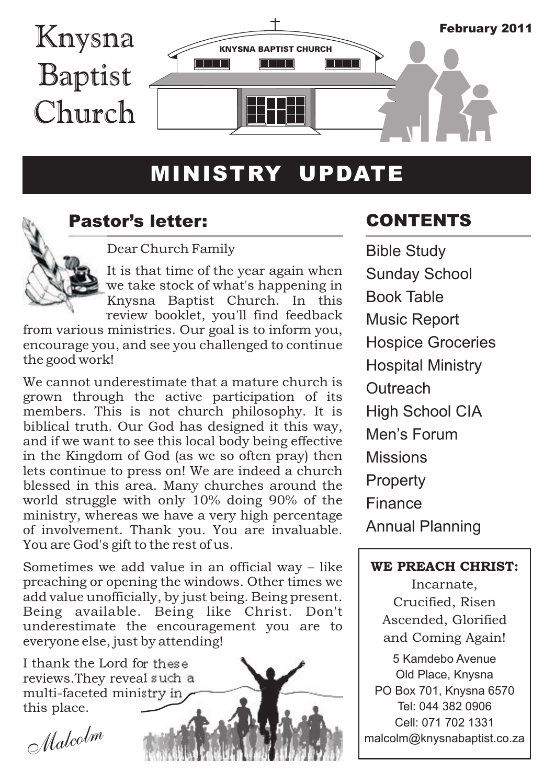

# MINISTRY UPDATE



### Pastor's letter:

Dear Church Family

It is that time of the year again when we take stock of what's happening in Knysna Baptist Church. In this review booklet, you'll find feedback

from various ministries. Our goal is to inform you, encourage you, and see you challenged to continue the good work!

We cannot underestimate that a mature church is grown through the active participation of its members. This is not church philosophy. It is biblical truth. Our God has designed it this way, and if we want to see this local body being effective in the Kingdom of God (as we so often pray) then lets continue to press on! We are indeed a church blessed in this area. Many churches around the world struggle with only 10% doing 90% of the ministry, whereas we have a very high percentage of involvement. Thank you. You are invaluable. You are God's gift to the rest of us.

Sometimes we add value in an official way – like preaching or opening the windows. Other times we add value unofficially, by just being. Being present. Being available. Being like Christ. Don't underestimate the encouragement you are to everyone else, just by attending!

I thank the Lord for these reviews.They reveal such a multi-faceted ministry in this place.

*Malcolm*

## CONTENTS

Bible Study Men's Forum Missions **Property** Finance Annual Planning Sunday School Book Table Music Report Hospice Groceries Hospital Ministry **Outreach** High School CIA

### WE PREACH CHRIST:

Incarnate, Crucified, Risen Ascended, Glorified and Coming Again!

5 Kamdebo Avenue Old Place, Knysna PO Box 701, Knysna 6570 Tel: 044 382 0906 Cell: 071 702 1331 malcolm@knysnabaptist.co.za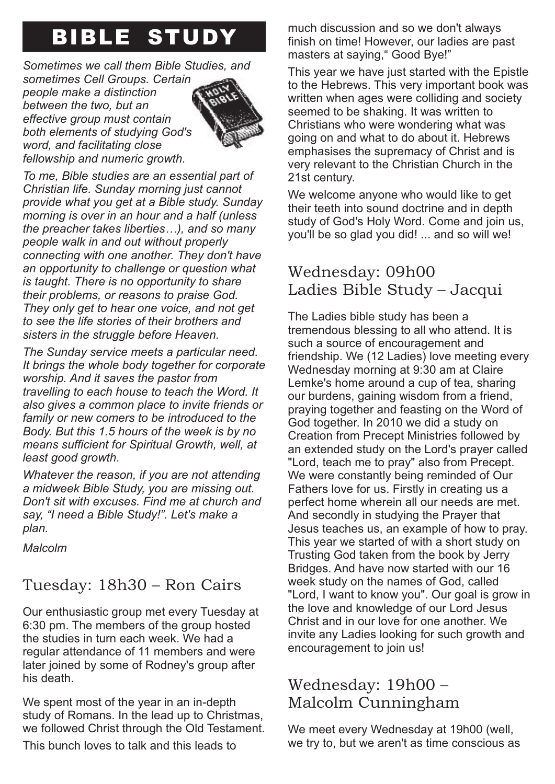# BIBLE STUDY

### *Sometimes we call them Bible Studies, and*

*sometimes Cell Groups. Certain people make a distinction between the two, but an effective group must contain both elements of studying God's word, and facilitating close fellowship and numeric growth.*



*To me, Bible studies are an essential part of Christian life. Sunday morning just cannot provide what you get at a Bible study. Sunday morning is over in an hour and a half (unless the preacher takes liberties…), and so many people walk in and out without properly connecting with one another. They don't have an opportunity to challenge or question what is taught. There is no opportunity to share their problems, or reasons to praise God. They only get to hear one voice, and not get to see the life stories of their brothers and sisters in the struggle before Heaven.*

*The Sunday service meets a particular need. It brings the whole body together for corporate worship. And it saves the pastor from travelling to each house to teach the Word. It also gives a common place to invite friends or family or new comers to be introduced to the Body. But this 1.5 hours of the week is by no means sufficient for Spiritual Growth, well, at least good growth.*

*Whatever the reason, if you are not attending a midweek Bible Study, you are missing out. Don't sit with excuses. Find me at church and say, "I need a Bible Study!". Let's make a plan.*

*Malcolm*

## Tuesday: 18h30 – Ron Cairs

Our enthusiastic group met every Tuesday at 6:30 pm. The members of the group hosted the studies in turn each week. We had a regular attendance of 11 members and were later joined by some of Rodney's group after his death.

We spent most of the year in an in-depth study of Romans. In the lead up to Christmas, we followed Christ through the Old Testament.

This bunch loves to talk and this leads to

much discussion and so we don't always finish on time! However, our ladies are past masters at saying," Good Bye!"

This year we have just started with the Epistle to the Hebrews. This very important book was written when ages were colliding and society seemed to be shaking. It was written to Christians who were wondering what was going on and what to do about it. Hebrews emphasises the supremacy of Christ and is very relevant to the Christian Church in the 21st century.

We welcome anyone who would like to get their teeth into sound doctrine and in depth study of God's Holy Word. Come and join us, you'll be so glad you did! ... and so will we!

## Wednesday: 09h00 Ladies Bible Study – Jacqui

The Ladies bible study has been a tremendous blessing to all who attend. It is such a source of encouragement and friendship. We (12 Ladies) love meeting every Wednesday morning at 9:30 am at Claire Lemke's home around a cup of tea, sharing our burdens, gaining wisdom from a friend, praying together and feasting on the Word of God together. In 2010 we did a study on Creation from Precept Ministries followed by an extended study on the Lord's prayer called "Lord, teach me to pray" also from Precept. We were constantly being reminded of Our Fathers love for us. Firstly in creating us a perfect home wherein all our needs are met. And secondly in studying the Prayer that Jesus teaches us, an example of how to pray. This year we started of with a short study on Trusting God taken from the book by Jerry Bridges. And have now started with our 16 week study on the names of God, called "Lord, I want to know you". Our goal is grow in the love and knowledge of our Lord Jesus Christ and in our love for one another. We invite any Ladies looking for such growth and encouragement to join us!

## Wednesday: 19h00 – Malcolm Cunningham

We meet every Wednesday at 19h00 (well, we try to, but we aren't as time conscious as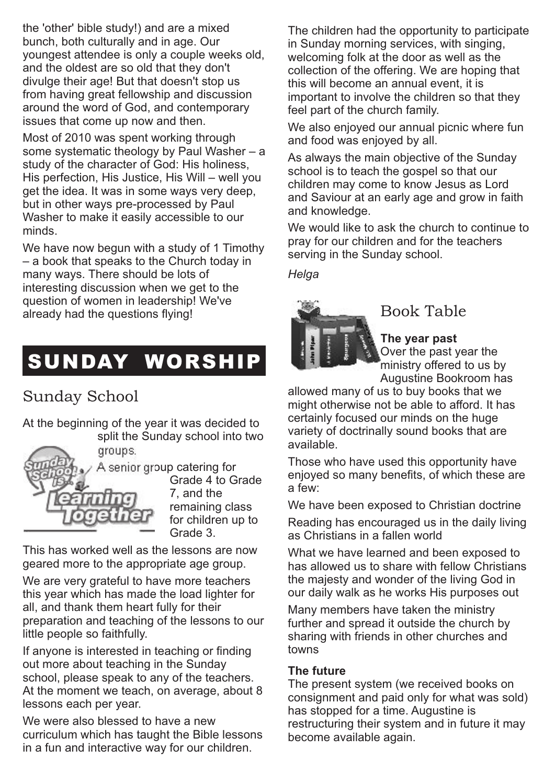the 'other' bible study!) and are a mixed bunch, both culturally and in age. Our youngest attendee is only a couple weeks old, and the oldest are so old that they don't divulge their age! But that doesn't stop us from having great fellowship and discussion around the word of God, and contemporary issues that come up now and then.

Most of 2010 was spent working through some systematic theology by Paul Washer – a study of the character of God: His holiness, His perfection, His Justice, His Will – well you get the idea. It was in some ways very deep, but in other ways pre-processed by Paul Washer to make it easily accessible to our minds.

We have now begun with a study of 1 Timothy – a book that speaks to the Church today in many ways. There should be lots of interesting discussion when we get to the question of women in leadership! We've already had the questions flying!

# SUNDAY WORSHIP

## Sunday School

At the beginning of the year it was decided to split the Sunday school into two

groups.



Grade 4 to Grade 7, and the remaining class for children up to Grade 3.

This has worked well as the lessons are now geared more to the appropriate age group.

We are very grateful to have more teachers this year which has made the load lighter for all, and thank them heart fully for their preparation and teaching of the lessons to our little people so faithfully.

If anyone is interested in teaching or finding out more about teaching in the Sunday school, please speak to any of the teachers. At the moment we teach, on average, about 8 lessons each per year.

We were also blessed to have a new curriculum which has taught the Bible lessons in a fun and interactive way for our children.

The children had the opportunity to participate in Sunday morning services, with singing, welcoming folk at the door as well as the collection of the offering. We are hoping that this will become an annual event, it is important to involve the children so that they feel part of the church family.

We also enjoyed our annual picnic where fun and food was enjoyed by all.

As always the main objective of the Sunday school is to teach the gospel so that our children may come to know Jesus as Lord and Saviour at an early age and grow in faith and knowledge.

We would like to ask the church to continue to pray for our children and for the teachers serving in the Sunday school.

### *Helga*



### Book Table

**The year past**

Over the past year the ministry offered to us by Augustine Bookroom has

allowed many of us to buy books that we might otherwise not be able to afford. It has certainly focused our minds on the huge variety of doctrinally sound books that are available.

Those who have used this opportunity have enjoyed so many benefits, of which these are a few:

We have been exposed to Christian doctrine

Reading has encouraged us in the daily living as Christians in a fallen world

What we have learned and been exposed to has allowed us to share with fellow Christians the majesty and wonder of the living God in our daily walk as he works His purposes out

Many members have taken the ministry further and spread it outside the church by sharing with friends in other churches and towns

### **The future**

The present system (we received books on consignment and paid only for what was sold) has stopped for a time. Augustine is restructuring their system and in future it may become available again.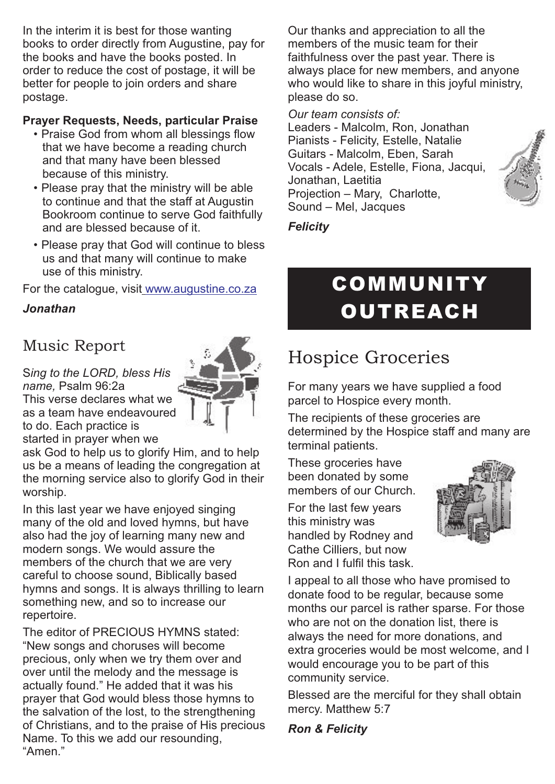In the interim it is best for those wanting books to order directly from Augustine, pay for the books and have the books posted. In order to reduce the cost of postage, it will be better for people to join orders and share postage.

### **Prayer Requests, Needs, particular Praise**

- Praise God from whom all blessings flow that we have become a reading church and that many have been blessed because of this ministry.
- Please pray that the ministry will be able to continue and that the staff at Augustin Bookroom continue to serve God faithfully and are blessed because of it.
- Please pray that God will continue to bless us and that many will continue to make use of this ministry.

For the catalogue, visit<u> www.augustine.co.za</u>

### *Jonathan*

## Music Report

S*ing to the LORD, bless His name,* Psalm 96:2a

This verse declares what we as a team have endeavoured to do. Each practice is



ask God to help us to glorify Him, and to help us be a means of leading the congregation at the morning service also to glorify God in their worship.

In this last year we have enjoyed singing many of the old and loved hymns, but have also had the joy of learning many new and modern songs. We would assure the members of the church that we are very careful to choose sound, Biblically based hymns and songs. It is always thrilling to learn something new, and so to increase our repertoire.

The editor of PRECIOUS HYMNS stated: "New songs and choruses will become precious, only when we try them over and over until the melody and the message is actually found." He added that it was his prayer that God would bless those hymns to the salvation of the lost, to the strengthening of Christians, and to the praise of His precious Name. To this we add our resounding, "Amen."

Our thanks and appreciation to all the members of the music team for their faithfulness over the past year. There is always place for new members, and anyone who would like to share in this joyful ministry. please do so.

#### *Our team consists of:*

Leaders - Malcolm, Ron, Jonathan Pianists - Felicity, Estelle, Natalie Guitars - Malcolm, Eben, Sarah Vocals - Adele, Estelle, Fiona, Jacqui, Jonathan, Laetitia Projection – Mary, Charlotte, Sound – Mel, Jacques



### *Felicity*

# **COMMUNITY OUTREACH**

# Hospice Groceries

For many years we have supplied a food parcel to Hospice every month.

The recipients of these groceries are determined by the Hospice staff and many are terminal patients.

These groceries have been donated by some members of our Church.

For the last few years this ministry was handled by Rodney and Cathe Cilliers, but now Ron and I fulfil this task.



I appeal to all those who have promised to donate food to be regular, because some months our parcel is rather sparse. For those who are not on the donation list, there is always the need for more donations, and extra groceries would be most welcome, and I would encourage you to be part of this community service.

Blessed are the merciful for they shall obtain mercy. Matthew 5:7

*Ron & Felicity*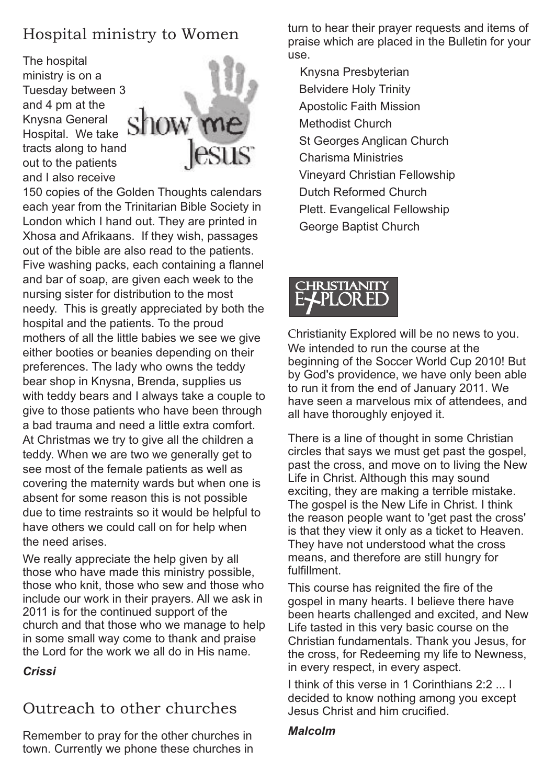## Hospital ministry to Women

The hospital ministry is on a Tuesday between 3 and 4 pm at the Knysna General Hospital. We take tracts along to hand out to the patients and I also receive



150 copies of the Golden Thoughts calendars each year from the Trinitarian Bible Society in London which I hand out. They are printed in Xhosa and Afrikaans. If they wish, passages out of the bible are also read to the patients. Five washing packs, each containing a flannel and bar of soap, are given each week to the nursing sister for distribution to the most needy. This is greatly appreciated by both the hospital and the patients. To the proud mothers of all the little babies we see we give either booties or beanies depending on their preferences. The lady who owns the teddy bear shop in Knysna, Brenda, supplies us with teddy bears and I always take a couple to give to those patients who have been through a bad trauma and need a little extra comfort. At Christmas we try to give all the children a teddy. When we are two we generally get to see most of the female patients as well as covering the maternity wards but when one is absent for some reason this is not possible due to time restraints so it would be helpful to have others we could call on for help when the need arises.

We really appreciate the help given by all those who have made this ministry possible, those who knit, those who sew and those who include our work in their prayers. All we ask in 2011 is for the continued support of the church and that those who we manage to help in some small way come to thank and praise the Lord for the work we all do in His name.

*Crissi* 

## Outreach to other churches

Remember to pray for the other churches in town. Currently we phone these churches in turn to hear their prayer requests and items of praise which are placed in the Bulletin for your use.

Knysna Presbyterian Belvidere Holy Trinity Apostolic Faith Mission Methodist Church St Georges Anglican Church Charisma Ministries Vineyard Christian Fellowship Dutch Reformed Church Plett. Evangelical Fellowship George Baptist Church



Christianity Explored will be no news to you. We intended to run the course at the beginning of the Soccer World Cup 2010! But by God's providence, we have only been able to run it from the end of January 2011. We have seen a marvelous mix of attendees, and all have thoroughly enjoyed it.

There is a line of thought in some Christian circles that says we must get past the gospel, past the cross, and move on to living the New Life in Christ. Although this may sound exciting, they are making a terrible mistake. The gospel is the New Life in Christ. I think the reason people want to 'get past the cross' is that they view it only as a ticket to Heaven. They have not understood what the cross means, and therefore are still hungry for fulfillment.

This course has reignited the fire of the gospel in many hearts. I believe there have been hearts challenged and excited, and New Life tasted in this very basic course on the Christian fundamentals. Thank you Jesus, for the cross, for Redeeming my life to Newness, in every respect, in every aspect.

I think of this verse in 1 Corinthians 2:2 ... I decided to know nothing among you except Jesus Christ and him crucified.

### *Malcolm*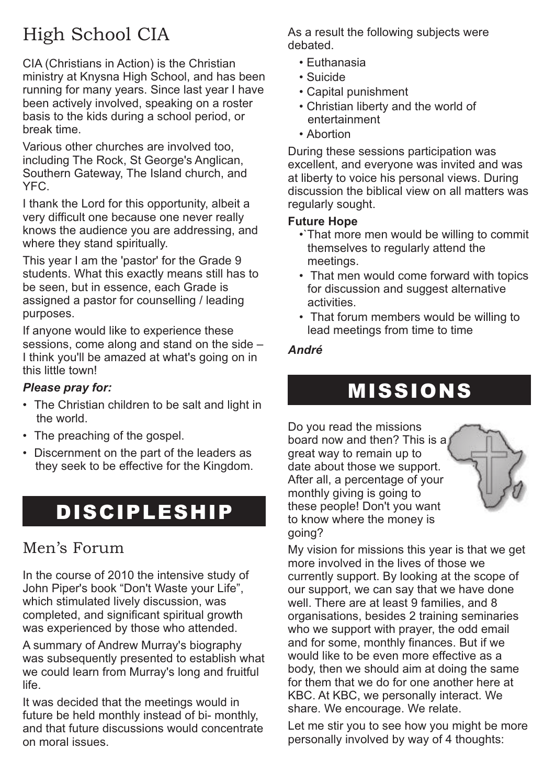# High School CIA

CIA (Christians in Action) is the Christian ministry at Knysna High School, and has been running for many years. Since last year I have been actively involved, speaking on a roster basis to the kids during a school period, or break time.

Various other churches are involved too, including The Rock, St George's Anglican, Southern Gateway, The Island church, and YFC.

I thank the Lord for this opportunity, albeit a very difficult one because one never really knows the audience you are addressing, and where they stand spiritually.

This year I am the 'pastor' for the Grade 9 students. What this exactly means still has to be seen, but in essence, each Grade is assigned a pastor for counselling / leading purposes.

If anyone would like to experience these sessions, come along and stand on the side – I think you'll be amazed at what's going on in this little town!

### *Please pray for:*

- The Christian children to be salt and light in the world.
- The preaching of the gospel.
- Discernment on the part of the leaders as they seek to be effective for the Kingdom.

# **DISCIPLESHIP**

## Men's Forum

In the course of 2010 the intensive study of John Piper's book "Don't Waste your Life", which stimulated lively discussion, was completed, and significant spiritual growth was experienced by those who attended.

A summary of Andrew Murray's biography was subsequently presented to establish what we could learn from Murray's long and fruitful life.

It was decided that the meetings would in future be held monthly instead of bi- monthly, and that future discussions would concentrate on moral issues.

As a result the following subjects were debated.

- Euthanasia
- Suicide
- Capital punishment
- Christian liberty and the world of entertainment
- Abortion

During these sessions participation was excellent, and everyone was invited and was at liberty to voice his personal views. During discussion the biblical view on all matters was regularly sought.

#### **Future Hope**

- •`That more men would be willing to commit themselves to regularly attend the meetings.
- That men would come forward with topics for discussion and suggest alternative activities.
- That forum members would be willing to lead meetings from time to time

### *André*

# MISSIONS

Do you read the missions board now and then? This is a great way to remain up to date about those we support. After all, a percentage of your monthly giving is going to these people! Don't you want to know where the money is going?



My vision for missions this year is that we get more involved in the lives of those we currently support. By looking at the scope of our support, we can say that we have done well. There are at least 9 families, and 8 organisations, besides 2 training seminaries who we support with prayer, the odd email and for some, monthly finances. But if we would like to be even more effective as a body, then we should aim at doing the same for them that we do for one another here at KBC. At KBC, we personally interact. We share. We encourage. We relate.

Let me stir you to see how you might be more personally involved by way of 4 thoughts: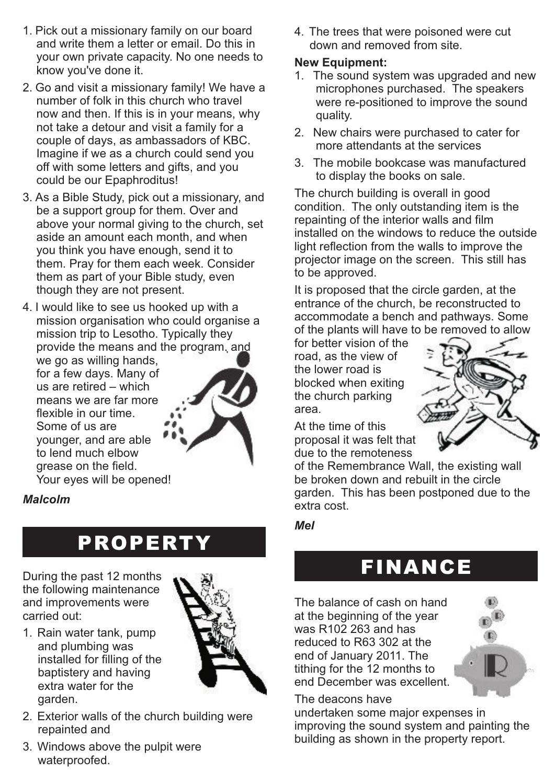- 1. Pick out a missionary family on our board and write them a letter or email. Do this in your own private capacity. No one needs to know you've done it.
- 2. Go and visit a missionary family! We have a number of folk in this church who travel now and then. If this is in your means, why not take a detour and visit a family for a couple of days, as ambassadors of KBC. Imagine if we as a church could send you off with some letters and gifts, and you could be our Epaphroditus!
- 3. As a Bible Study, pick out a missionary, and be a support group for them. Over and above your normal giving to the church, set aside an amount each month, and when you think you have enough, send it to them. Pray for them each week. Consider them as part of your Bible study, even though they are not present.
- 4. I would like to see us hooked up with a mission organisation who could organise a mission trip to Lesotho. Typically they provide the means and the program, and we go as willing hands, for a few days. Many of us are retired – which means we are far more flexible in our time. Some of us are younger, and are able to lend much elbow grease on the field. Your eyes will be opened!

### *Malcolm*

# PROPERTY

During the past 12 months the following maintenance and improvements were carried out:





- 2. Exterior walls of the church building were repainted and
- 3. Windows above the pulpit were waterproofed.

4. The trees that were poisoned were cut down and removed from site.

### **New Equipment:**

- 1. The sound system was upgraded and new microphones purchased. The speakers were re-positioned to improve the sound quality.
- 2. New chairs were purchased to cater for more attendants at the services
- 3. The mobile bookcase was manufactured to display the books on sale.

The church building is overall in good condition. The only outstanding item is the repainting of the interior walls and film installed on the windows to reduce the outside light reflection from the walls to improve the projector image on the screen. This still has to be approved.

It is proposed that the circle garden, at the entrance of the church, be reconstructed to accommodate a bench and pathways. Some of the plants will have to be removed to allow

for better vision of the road, as the view of the lower road is blocked when exiting the church parking area.



At the time of this proposal it was felt that due to the remoteness

of the Remembrance Wall, the existing wall be broken down and rebuilt in the circle garden. This has been postponed due to the extra cost.

*Mel*

# FINANCE

The balance of cash on hand at the beginning of the year was R102 263 and has reduced to R63 302 at the end of January 2011. The tithing for the 12 months to end December was excellent.



### The deacons have

undertaken some major expenses in improving the sound system and painting the building as shown in the property report.